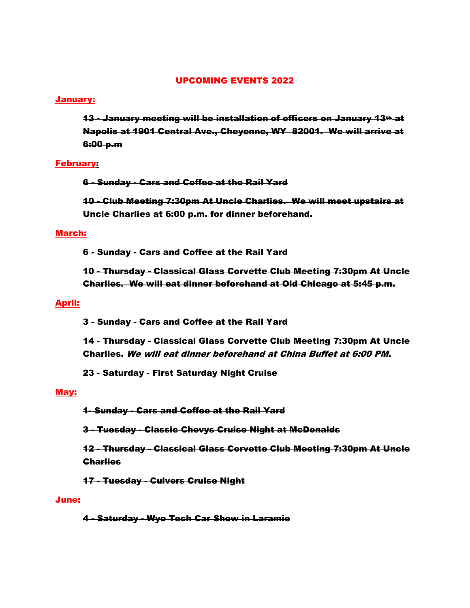# UPCOMING EVENTS 2022

# January:

13 - January meeting will be installation of officers on January 13th at Napolis at 1901 Central Ave., Cheyenne, WY 82001. We will arrive at 6:00 p.m

# February:

6 - Sunday - Cars and Coffee at the Rail Yard

10 - Club Meeting 7:30pm At Uncle Charlies. We will meet upstairs at Uncle Charlies at 6:00 p.m. for dinner beforehand.

# March:

6 - Sunday - Cars and Coffee at the Rail Yard

10 - Thursday - Classical Glass Corvette Club Meeting 7:30pm At Uncle Charlies. We will eat dinner beforehand at Old Chicago at 5:45 p.m.

# April:

3 - Sunday - Cars and Coffee at the Rail Yard

14 - Thursday - Classical Glass Corvette Club Meeting 7:30pm At Uncle Charlies. We will eat dinner beforehand at China Buffet at 6:00 PM.

23 - Saturday - First Saturday Night Cruise

# May:

1- Sunday - Cars and Coffee at the Rail Yard

3 - Tuesday - Classic Chevys Cruise Night at McDonalds

12 - Thursday - Classical Glass Corvette Club Meeting 7:30pm At Uncle **Charlies** 

17 - Tuesday - Culvers Cruise Night

#### June:

4 - Saturday - Wyo Tech Car Show in Laramie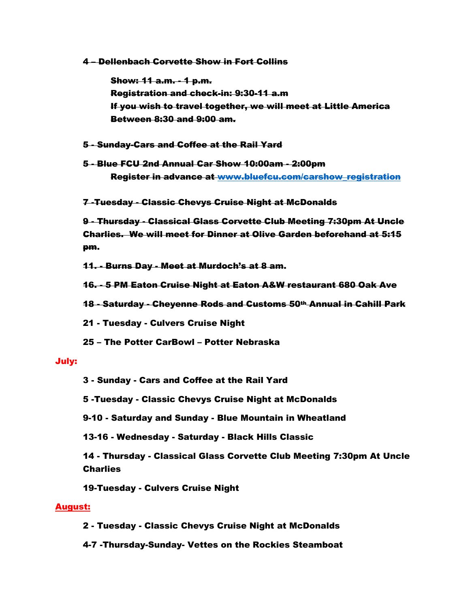4 – Dellenbach Corvette Show in Fort Collins

Show: 11 a.m. - 1 p.m. Registration and check-in: 9:30-11 a.m If you wish to travel together, we will meet at Little America Between 8:30 and 9:00 am.

- 5 Sunday-Cars and Coffee at the Rail Yard
- 5 Blue FCU 2nd Annual Car Show 10:00am 2:00pm Register in advance at [www.bluefcu.com/carshow\\_registration](http://www.bluefcu.com/carshow_registration)
- 7 -Tuesday Classic Chevys Cruise Night at McDonalds

9 - Thursday - Classical Glass Corvette Club Meeting 7:30pm At Uncle Charlies. We will meet for Dinner at Olive Garden beforehand at 5:15 pm.

11. - Burns Day - Meet at Murdoch's at 8 am.

16. - 5 PM Eaton Cruise Night at Eaton A&W restaurant 680 Oak Ave

- 18 Saturday Cheyenne Rods and Customs 50th Annual in Cahill Park
- 21 Tuesday Culvers Cruise Night
- 25 The Potter CarBowl Potter Nebraska

#### July:

3 - Sunday - Cars and Coffee at the Rail Yard

5 -Tuesday - Classic Chevys Cruise Night at McDonalds

9-10 - Saturday and Sunday - Blue Mountain in Wheatland

13-16 - Wednesday - Saturday - Black Hills Classic

14 - Thursday - Classical Glass Corvette Club Meeting 7:30pm At Uncle Charlies

19-Tuesday - Culvers Cruise Night

# August:

2 - Tuesday - Classic Chevys Cruise Night at McDonalds

4-7 -Thursday-Sunday- Vettes on the Rockies Steamboat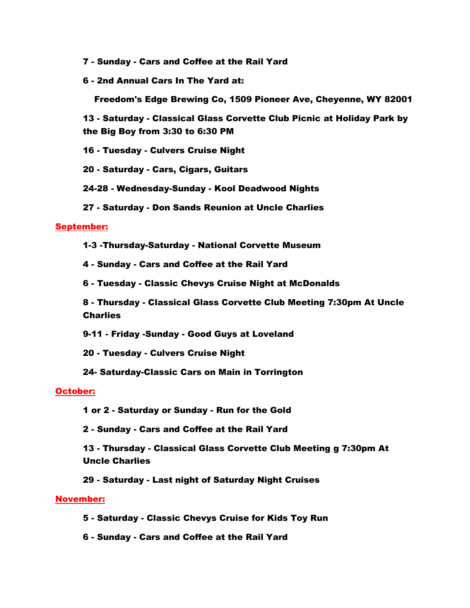- 7 Sunday Cars and Coffee at the Rail Yard
- 6 2nd Annual Cars In The Yard at:

Freedom's Edge Brewing Co, 1509 Pioneer Ave, Cheyenne, WY 82001

13 - Saturday - Classical Glass Corvette Club Picnic at Holiday Park by the Big Boy from 3:30 to 6:30 PM

16 - Tuesday - Culvers Cruise Night

20 - Saturday - Cars, Cigars, Guitars

24-28 - Wednesday-Sunday - Kool Deadwood Nights

27 - Saturday - Don Sands Reunion at Uncle Charlies

# September:

1-3 -Thursday-Saturday - National Corvette Museum

4 - Sunday - Cars and Coffee at the Rail Yard

6 - Tuesday - Classic Chevys Cruise Night at McDonalds

8 - Thursday - Classical Glass Corvette Club Meeting 7:30pm At Uncle **Charlies** 

9-11 - Friday -Sunday - Good Guys at Loveland

20 - Tuesday - Culvers Cruise Night

24- Saturday-Classic Cars on Main in Torrington

# October:

- 1 or 2 Saturday or Sunday Run for the Gold
- 2 Sunday Cars and Coffee at the Rail Yard

13 - Thursday - Classical Glass Corvette Club Meeting g 7:30pm At Uncle Charlies

29 - Saturday - Last night of Saturday Night Cruises

# November:

- 5 Saturday Classic Chevys Cruise for Kids Toy Run
- 6 Sunday Cars and Coffee at the Rail Yard